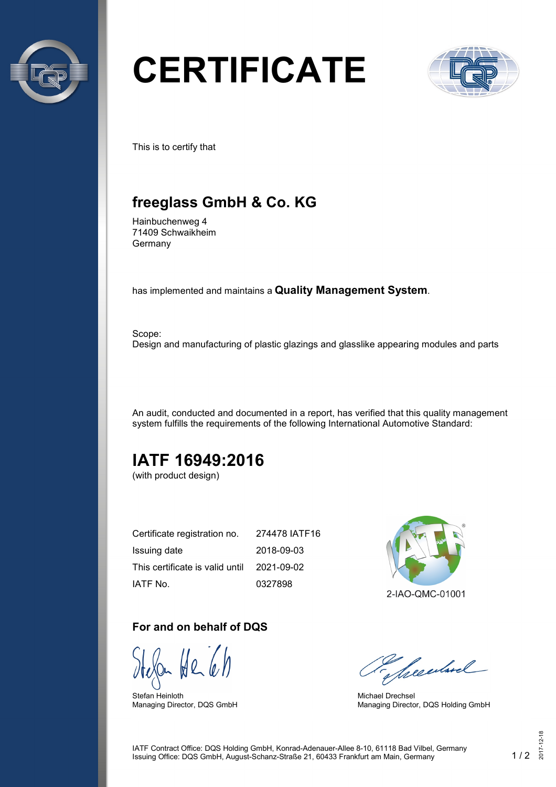

# **CERTIFICATE**



This is to certify that

## **freeglass GmbH & Co. KG**

Hainbuchenweg 4 71409 Schwaikheim Germany

has implemented and maintains a **Quality Management System**.

Scope: Design and manufacturing of plastic glazings and glasslike appearing modules and parts

An audit, conducted and documented in a report, has verified that this quality management system fulfills the requirements of the following International Automotive Standard:

## **IATF 16949:2016**

(with product design)

| Certificate registration no.    | 274478 IATF16 |
|---------------------------------|---------------|
| Issuing date                    | 2018-09-03    |
| This certificate is valid until | 2021-09-02    |
| IATF No.                        | 0327898       |

#### **For and on behalf of DQS**

Stefan Heinloth Managing Director, DQS GmbH



Seculard

Michael Drechsel Managing Director, DQS Holding GmbH

IATF Contract Office: DQS Holding GmbH, Konrad-Adenauer-Allee 8-10, 61118 Bad Vilbel, Germany Issuing Office: DQS GmbH, August-Schanz-Straße 21, 60433 Frankfurt am Main, Germany